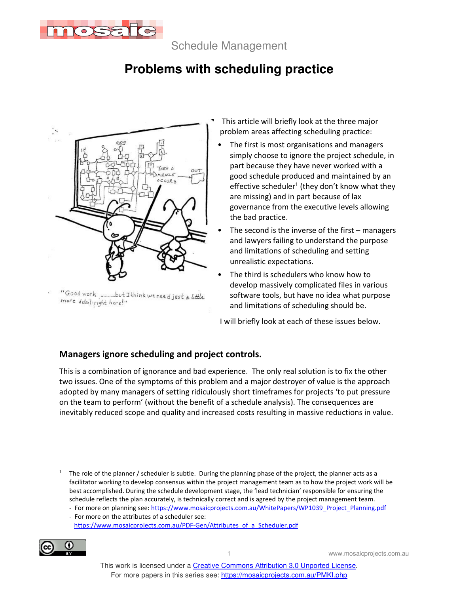

Schedule Management

# **Problems with scheduling practice**



more detailigight here!"

- This article will briefly look at the three major problem areas affecting scheduling practice:
	- The first is most organisations and managers simply choose to ignore the project schedule, in part because they have never worked with a good schedule produced and maintained by an effective scheduler<sup>1</sup> (they don't know what they are missing) and in part because of lax governance from the executive levels allowing the bad practice.
	- The second is the inverse of the first  $-$  managers and lawyers failing to understand the purpose and limitations of scheduling and setting unrealistic expectations.
	- The third is schedulers who know how to develop massively complicated files in various software tools, but have no idea what purpose and limitations of scheduling should be.

I will briefly look at each of these issues below.

## **Managers ignore scheduling and project controls.**

This is a combination of ignorance and bad experience. The only real solution is to fix the other two issues. One of the symptoms of this problem and a major destroyer of value is the approach adopted by many managers of setting ridiculously short timeframes for projects 'to put pressure on the team to perform' (without the benefit of a schedule analysis). The consequences are inevitably reduced scope and quality and increased costs resulting in massive reductions in value.

https://www.mosaicprojects.com.au/PDF-Gen/Attributes\_of\_a\_Scheduler.pdf



<sup>1</sup> The role of the planner / scheduler is subtle. During the planning phase of the project, the planner acts as a facilitator working to develop consensus within the project management team as to how the project work will be best accomplished. During the schedule development stage, the 'lead technician' responsible for ensuring the schedule reflects the plan accurately, is technically correct and is agreed by the project management team.

<sup>-</sup> For more on planning see: https://www.mosaicprojects.com.au/WhitePapers/WP1039\_Project\_Planning.pdf - For more on the attributes of a scheduler see: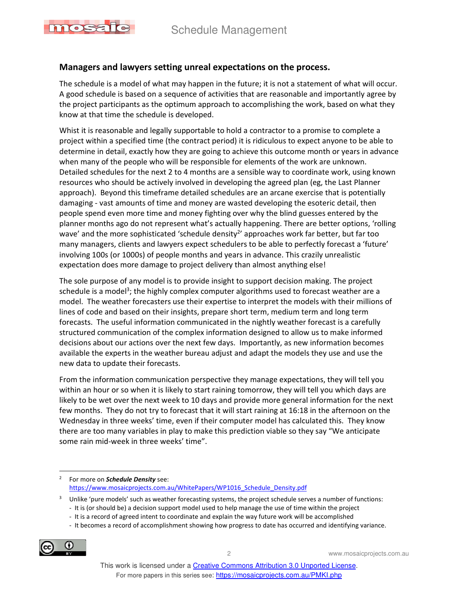

#### **Managers and lawyers setting unreal expectations on the process.**

The schedule is a model of what may happen in the future; it is not a statement of what will occur. A good schedule is based on a sequence of activities that are reasonable and importantly agree by the project participants as the optimum approach to accomplishing the work, based on what they know at that time the schedule is developed.

Whist it is reasonable and legally supportable to hold a contractor to a promise to complete a project within a specified time (the contract period) it is ridiculous to expect anyone to be able to determine in detail, exactly how they are going to achieve this outcome month or years in advance when many of the people who will be responsible for elements of the work are unknown. Detailed schedules for the next 2 to 4 months are a sensible way to coordinate work, using known resources who should be actively involved in developing the agreed plan (eg, the Last Planner approach). Beyond this timeframe detailed schedules are an arcane exercise that is potentially damaging - vast amounts of time and money are wasted developing the esoteric detail, then people spend even more time and money fighting over why the blind guesses entered by the planner months ago do not represent what's actually happening. There are better options, 'rolling wave' and the more sophisticated 'schedule density<sup>2</sup>' approaches work far better, but far too many managers, clients and lawyers expect schedulers to be able to perfectly forecast a 'future' involving 100s (or 1000s) of people months and years in advance. This crazily unrealistic expectation does more damage to project delivery than almost anything else!

The sole purpose of any model is to provide insight to support decision making. The project schedule is a model<sup>3</sup>; the highly complex computer algorithms used to forecast weather are a model. The weather forecasters use their expertise to interpret the models with their millions of lines of code and based on their insights, prepare short term, medium term and long term forecasts. The useful information communicated in the nightly weather forecast is a carefully structured communication of the complex information designed to allow us to make informed decisions about our actions over the next few days. Importantly, as new information becomes available the experts in the weather bureau adjust and adapt the models they use and use the new data to update their forecasts.

From the information communication perspective they manage expectations, they will tell you within an hour or so when it is likely to start raining tomorrow, they will tell you which days are likely to be wet over the next week to 10 days and provide more general information for the next few months. They do not try to forecast that it will start raining at 16:18 in the afternoon on the Wednesday in three weeks' time, even if their computer model has calculated this. They know there are too many variables in play to make this prediction viable so they say "We anticipate some rain mid-week in three weeks' time".

<sup>-</sup> It becomes a record of accomplishment showing how progress to date has occurred and identifying variance.



2 www.mosaicprojects.com.au

<sup>2</sup> For more on *Schedule Density* see: https://www.mosaicprojects.com.au/WhitePapers/WP1016 Schedule Density.pdf

<sup>3</sup> Unlike 'pure models' such as weather forecasting systems, the project schedule serves a number of functions:

<sup>-</sup> It is (or should be) a decision support model used to help manage the use of time within the project

<sup>-</sup> It is a record of agreed intent to coordinate and explain the way future work will be accomplished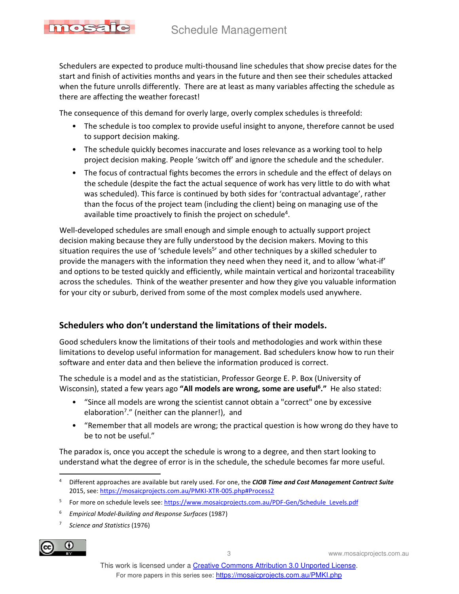

Schedulers are expected to produce multi-thousand line schedules that show precise dates for the start and finish of activities months and years in the future and then see their schedules attacked when the future unrolls differently. There are at least as many variables affecting the schedule as there are affecting the weather forecast!

The consequence of this demand for overly large, overly complex schedules is threefold:

- The schedule is too complex to provide useful insight to anyone, therefore cannot be used to support decision making.
- The schedule quickly becomes inaccurate and loses relevance as a working tool to help project decision making. People 'switch off' and ignore the schedule and the scheduler.
- The focus of contractual fights becomes the errors in schedule and the effect of delays on the schedule (despite the fact the actual sequence of work has very little to do with what was scheduled). This farce is continued by both sides for 'contractual advantage', rather than the focus of the project team (including the client) being on managing use of the available time proactively to finish the project on schedule<sup>4</sup>.

Well-developed schedules are small enough and simple enough to actually support project decision making because they are fully understood by the decision makers. Moving to this situation requires the use of 'schedule levels<sup>5</sup>' and other techniques by a skilled scheduler to provide the managers with the information they need when they need it, and to allow 'what-if' and options to be tested quickly and efficiently, while maintain vertical and horizontal traceability across the schedules. Think of the weather presenter and how they give you valuable information for your city or suburb, derived from some of the most complex models used anywhere.

## **Schedulers who don't understand the limitations of their models.**

Good schedulers know the limitations of their tools and methodologies and work within these limitations to develop useful information for management. Bad schedulers know how to run their software and enter data and then believe the information produced is correct.

The schedule is a model and as the statistician, Professor George E. P. Box (University of Wisconsin), stated a few years ago **"All models are wrong, some are useful<sup>6</sup> ."** He also stated:

- "Since all models are wrong the scientist cannot obtain a "correct" one by excessive elaboration<sup>7</sup>." (neither can the planner!), and
- "Remember that all models are wrong; the practical question is how wrong do they have to be to not be useful."

The paradox is, once you accept the schedule is wrong to a degree, and then start looking to understand what the degree of error is in the schedule, the schedule becomes far more useful.

<sup>7</sup> *Science and Statistics* (1976)



<sup>4</sup> Different approaches are available but rarely used. For one, the *CIOB Time and Cost Management Contract Suite* 2015, see: https://mosaicprojects.com.au/PMKI-XTR-005.php#Process2

<sup>&</sup>lt;sup>5</sup> For more on schedule levels see: https://www.mosaicprojects.com.au/PDF-Gen/Schedule\_Levels.pdf

<sup>6</sup> *Empirical Model-Building and Response Surfaces* (1987)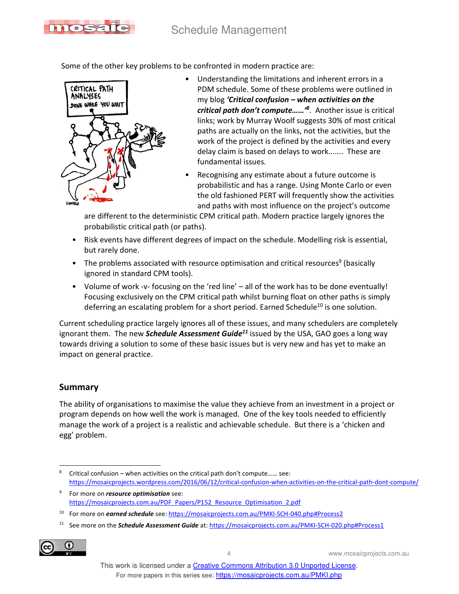

Some of the other key problems to be confronted in modern practice are:



- Understanding the limitations and inherent errors in a PDM schedule. Some of these problems were outlined in my blog *'Critical confusion – when activities on the critical path don't compute……'<sup>8</sup>* . Another issue is critical links; work by Murray Woolf suggests 30% of most critical paths are actually on the links, not the activities, but the work of the project is defined by the activities and every delay claim is based on delays to work....... These are fundamental issues.
- Recognising any estimate about a future outcome is probabilistic and has a range. Using Monte Carlo or even the old fashioned PERT will frequently show the activities and paths with most influence on the project's outcome

are different to the deterministic CPM critical path. Modern practice largely ignores the probabilistic critical path (or paths).

- Risk events have different degrees of impact on the schedule. Modelling risk is essential, but rarely done.
- The problems associated with resource optimisation and critical resources<sup>9</sup> (basically ignored in standard CPM tools).
- Volume of work -v- focusing on the 'red line' all of the work has to be done eventually! Focusing exclusively on the CPM critical path whilst burning float on other paths is simply deferring an escalating problem for a short period. Earned Schedule<sup>10</sup> is one solution.

Current scheduling practice largely ignores all of these issues, and many schedulers are completely ignorant them. The new *Schedule Assessment Guide<sup>11</sup>* issued by the USA, GAO goes a long way towards driving a solution to some of these basic issues but is very new and has yet to make an impact on general practice.

### **Summary**

The ability of organisations to maximise the value they achieve from an investment in a project or program depends on how well the work is managed. One of the key tools needed to efficiently manage the work of a project is a realistic and achievable schedule. But there is a 'chicken and egg' problem.

<sup>11</sup> See more on the *Schedule Assessment Guide* at: https://mosaicprojects.com.au/PMKI-SCH-020.php#Process1



4 www.mosaicprojects.com.au

<sup>8</sup> Critical confusion – when activities on the critical path don't compute…… see: https://mosaicprojects.wordpress.com/2016/06/12/critical-confusion-when-activities-on-the-critical-path-dont-compute/

<sup>9</sup> For more on *resource optimisation* see: https://mosaicprojects.com.au/PDF\_Papers/P152\_Resource\_Optimisation\_2.pdf

<sup>&</sup>lt;sup>10</sup> For more on **earned schedule** see: https://mosaicprojects.com.au/PMKI-SCH-040.php#Process2